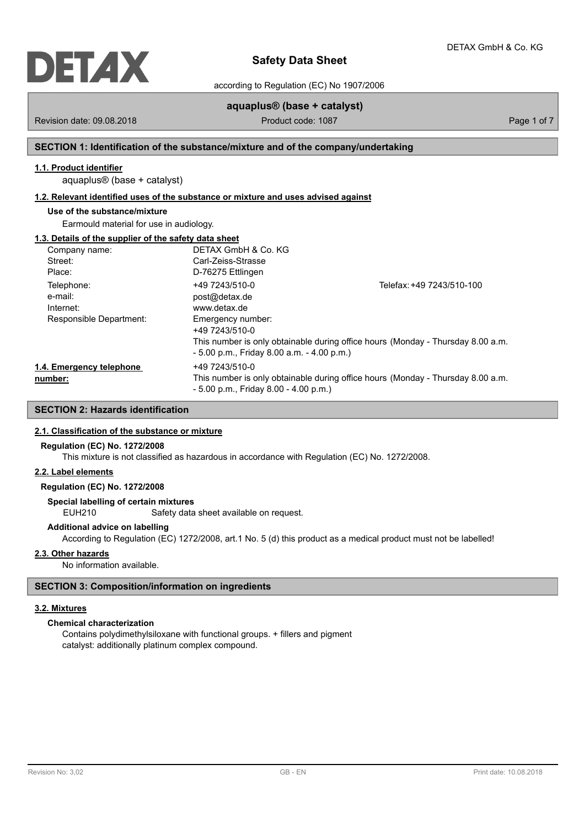

according to Regulation (EC) No 1907/2006

# **aquaplus® (base + catalyst)**

Revision date: 09.08.2018 **Product code: 1087** Product code: 1087 **Page 1 of 7** Page 1 of 7

# **SECTION 1: Identification of the substance/mixture and of the company/undertaking**

# **1.1. Product identifier**

aquaplus® (base + catalyst)

### **1.2. Relevant identified uses of the substance or mixture and uses advised against**

# **Use of the substance/mixture**

Earmould material for use in audiology.

# **1.3. Details of the supplier of the safety data sheet**

| Company name:            | DETAX GmbH & Co. KG                                                             |                                                                                 |  |
|--------------------------|---------------------------------------------------------------------------------|---------------------------------------------------------------------------------|--|
| Street:                  | Carl-Zeiss-Strasse                                                              |                                                                                 |  |
| Place:                   | D-76275 Ettlingen                                                               |                                                                                 |  |
| Telephone:               | +49 7243/510-0                                                                  | Telefax: +49 7243/510-100                                                       |  |
| e-mail:                  | post@detax.de                                                                   |                                                                                 |  |
| Internet:                | www.detax.de                                                                    |                                                                                 |  |
| Responsible Department:  | Emergency number:                                                               |                                                                                 |  |
|                          | +49 7243/510-0                                                                  |                                                                                 |  |
|                          |                                                                                 | This number is only obtainable during office hours (Monday - Thursday 8.00 a.m. |  |
|                          | $-5.00$ p.m., Friday 8.00 a.m. $-4.00$ p.m.)                                    |                                                                                 |  |
| 1.4. Emergency telephone | +49 7243/510-0                                                                  |                                                                                 |  |
| number:                  | This number is only obtainable during office hours (Monday - Thursday 8.00 a.m. |                                                                                 |  |
|                          | $-5.00$ p.m., Friday 8.00 $-4.00$ p.m.)                                         |                                                                                 |  |

# **SECTION 2: Hazards identification**

#### **2.1. Classification of the substance or mixture**

#### **Regulation (EC) No. 1272/2008**

This mixture is not classified as hazardous in accordance with Regulation (EC) No. 1272/2008.

### **2.2. Label elements**

# **Regulation (EC) No. 1272/2008**

**Special labelling of certain mixtures**

EUH210 Safety data sheet available on request.

### **Additional advice on labelling**

According to Regulation (EC) 1272/2008, art.1 No. 5 (d) this product as a medical product must not be labelled!

## **2.3. Other hazards**

No information available.

## **SECTION 3: Composition/information on ingredients**

#### **3.2. Mixtures**

# **Chemical characterization**

Contains polydimethylsiloxane with functional groups. + fillers and pigment catalyst: additionally platinum complex compound.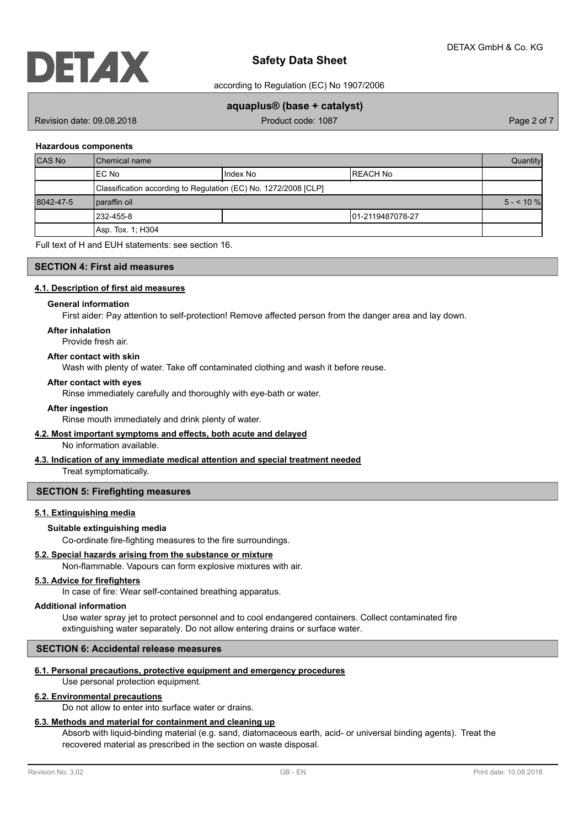

according to Regulation (EC) No 1907/2006

## **aquaplus® (base + catalyst)**

Revision date: 09.08.2018 **Product code: 1087** Product code: 1087 **Page 2 of 7** Page 2 of 7

#### **Hazardous components**

| <b>CAS No</b> | Chemical name                                                   |  |  | Quantity   |
|---------------|-----------------------------------------------------------------|--|--|------------|
|               | IEC No<br>I Index No                                            |  |  |            |
|               | Classification according to Regulation (EC) No. 1272/2008 [CLP] |  |  |            |
| 8042-47-5     | Iparaffin oil                                                   |  |  | $5 - 10\%$ |
|               | 1232-455-8<br>101-2119487078-27                                 |  |  |            |
|               | Asp. Tox. 1; H304                                               |  |  |            |

Full text of H and EUH statements: see section 16.

### **SECTION 4: First aid measures**

#### **4.1. Description of first aid measures**

#### **General information**

First aider: Pay attention to self-protection! Remove affected person from the danger area and lay down.

## **After inhalation**

Provide fresh air.

### **After contact with skin**

Wash with plenty of water. Take off contaminated clothing and wash it before reuse.

#### **After contact with eyes**

Rinse immediately carefully and thoroughly with eye-bath or water.

#### **After ingestion**

Rinse mouth immediately and drink plenty of water.

#### **4.2. Most important symptoms and effects, both acute and delayed**

No information available.

#### **4.3. Indication of any immediate medical attention and special treatment needed**

Treat symptomatically.

#### **SECTION 5: Firefighting measures**

#### **5.1. Extinguishing media**

#### **Suitable extinguishing media**

Co-ordinate fire-fighting measures to the fire surroundings.

### **5.2. Special hazards arising from the substance or mixture**

Non-flammable. Vapours can form explosive mixtures with air.

#### **5.3. Advice for firefighters**

In case of fire: Wear self-contained breathing apparatus.

#### **Additional information**

Use water spray jet to protect personnel and to cool endangered containers. Collect contaminated fire extinguishing water separately. Do not allow entering drains or surface water.

### **SECTION 6: Accidental release measures**

#### **6.1. Personal precautions, protective equipment and emergency procedures**

Use personal protection equipment.

#### **6.2. Environmental precautions**

Do not allow to enter into surface water or drains.

#### **6.3. Methods and material for containment and cleaning up**

Absorb with liquid-binding material (e.g. sand, diatomaceous earth, acid- or universal binding agents). Treat the recovered material as prescribed in the section on waste disposal.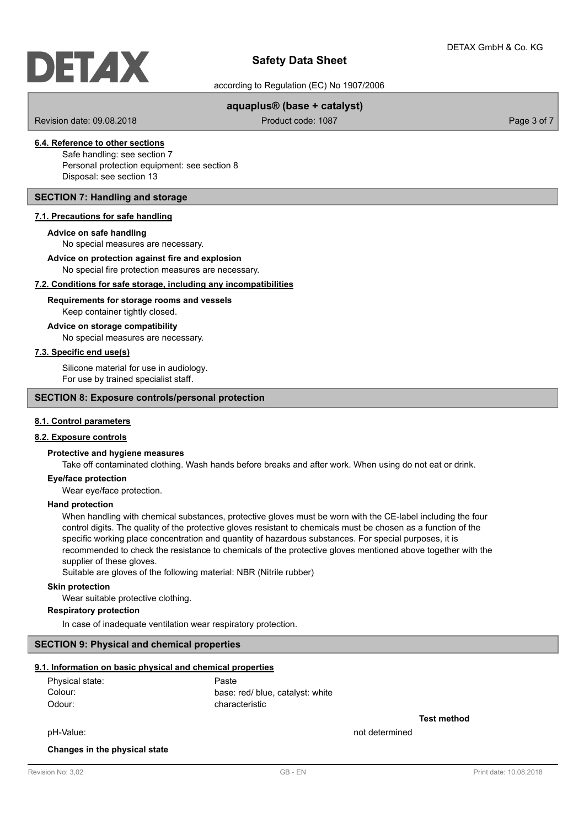according to Regulation (EC) No 1907/2006

## **aquaplus® (base + catalyst)**

Revision date: 09.08.2018 **Product code: 1087** Product code: 1087 **Page 3 of 7** Page 3 of 7

# **6.4. Reference to other sections**

Safe handling: see section 7 Personal protection equipment: see section 8 Disposal: see section 13

## **SECTION 7: Handling and storage**

#### **7.1. Precautions for safe handling**

#### **Advice on safe handling**

No special measures are necessary.

# **Advice on protection against fire and explosion**

No special fire protection measures are necessary.

# **7.2. Conditions for safe storage, including any incompatibilities**

#### Keep container tightly closed. **Requirements for storage rooms and vessels**

#### **Advice on storage compatibility**

No special measures are necessary.

## **7.3. Specific end use(s)**

Silicone material for use in audiology. For use by trained specialist staff.

#### **SECTION 8: Exposure controls/personal protection**

#### **8.1. Control parameters**

#### **8.2. Exposure controls**

### **Protective and hygiene measures**

Take off contaminated clothing. Wash hands before breaks and after work. When using do not eat or drink.

#### **Eye/face protection**

Wear eye/face protection.

#### **Hand protection**

When handling with chemical substances, protective gloves must be worn with the CE-label including the four control digits. The quality of the protective gloves resistant to chemicals must be chosen as a function of the specific working place concentration and quantity of hazardous substances. For special purposes, it is recommended to check the resistance to chemicals of the protective gloves mentioned above together with the supplier of these gloves.

Suitable are gloves of the following material: NBR (Nitrile rubber)

#### **Skin protection**

Wear suitable protective clothing.

**Respiratory protection**

In case of inadequate ventilation wear respiratory protection.

### **SECTION 9: Physical and chemical properties**

#### **9.1. Information on basic physical and chemical properties**

| Physical state: | Paste                            |
|-----------------|----------------------------------|
| Colour:         | base: red/ blue, catalyst: white |
| Odour:          | characteristic                   |

**Test method**

pH-Value: not determined

#### **Changes in the physical state**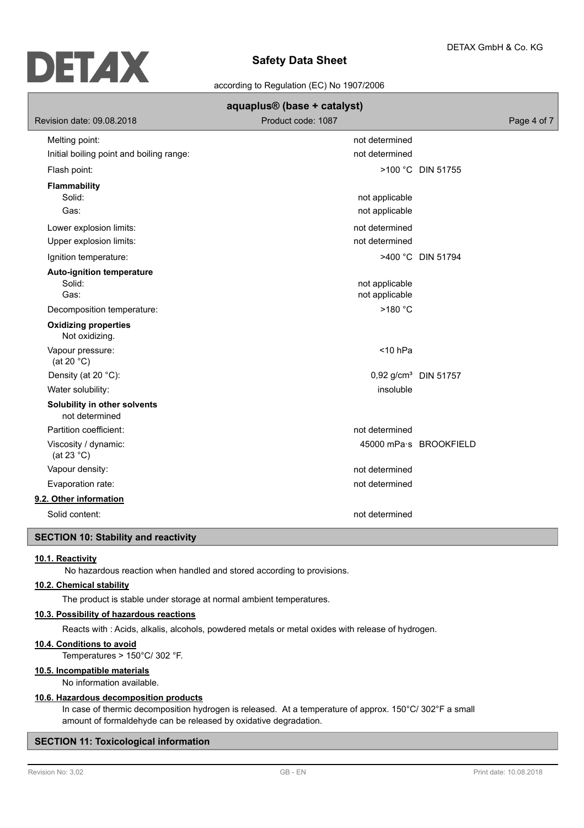

according to Regulation (EC) No 1907/2006

| aquaplus <sup>®</sup> (base + catalyst)        |                    |                                  |  |
|------------------------------------------------|--------------------|----------------------------------|--|
| Revision date: 09.08.2018                      | Product code: 1087 | Page 4 of 7                      |  |
| Melting point:                                 | not determined     |                                  |  |
| Initial boiling point and boiling range:       | not determined     |                                  |  |
| Flash point:                                   |                    | >100 °C DIN 51755                |  |
| <b>Flammability</b>                            |                    |                                  |  |
| Solid:                                         | not applicable     |                                  |  |
| Gas:                                           | not applicable     |                                  |  |
| Lower explosion limits:                        | not determined     |                                  |  |
| Upper explosion limits:                        | not determined     |                                  |  |
| Ignition temperature:                          |                    | >400 °C DIN 51794                |  |
| <b>Auto-ignition temperature</b>               |                    |                                  |  |
| Solid:                                         | not applicable     |                                  |  |
| Gas:                                           | not applicable     |                                  |  |
| Decomposition temperature:                     | >180 °C            |                                  |  |
| <b>Oxidizing properties</b><br>Not oxidizing.  |                    |                                  |  |
| Vapour pressure:<br>(at 20 $°C$ )              | $<$ 10 hPa         |                                  |  |
| Density (at 20 °C):                            |                    | 0,92 g/cm <sup>3</sup> DIN 51757 |  |
| Water solubility:                              | insoluble          |                                  |  |
| Solubility in other solvents<br>not determined |                    |                                  |  |
| Partition coefficient:                         | not determined     |                                  |  |
| Viscosity / dynamic:<br>(at 23 $^{\circ}$ C)   |                    | 45000 mPa·s BROOKFIELD           |  |
| Vapour density:                                | not determined     |                                  |  |
| Evaporation rate:                              | not determined     |                                  |  |
| 9.2. Other information                         |                    |                                  |  |
| Solid content:                                 | not determined     |                                  |  |

# **SECTION 10: Stability and reactivity**

#### **10.1. Reactivity**

No hazardous reaction when handled and stored according to provisions.

# **10.2. Chemical stability**

The product is stable under storage at normal ambient temperatures.

### **10.3. Possibility of hazardous reactions**

Reacts with : Acids, alkalis, alcohols, powdered metals or metal oxides with release of hydrogen.

### **10.4. Conditions to avoid**

Temperatures > 150°C/ 302 °F.

## **10.5. Incompatible materials**

No information available.

## **10.6. Hazardous decomposition products**

In case of thermic decomposition hydrogen is released. At a temperature of approx. 150°C/ 302°F a small amount of formaldehyde can be released by oxidative degradation.

# **SECTION 11: Toxicological information**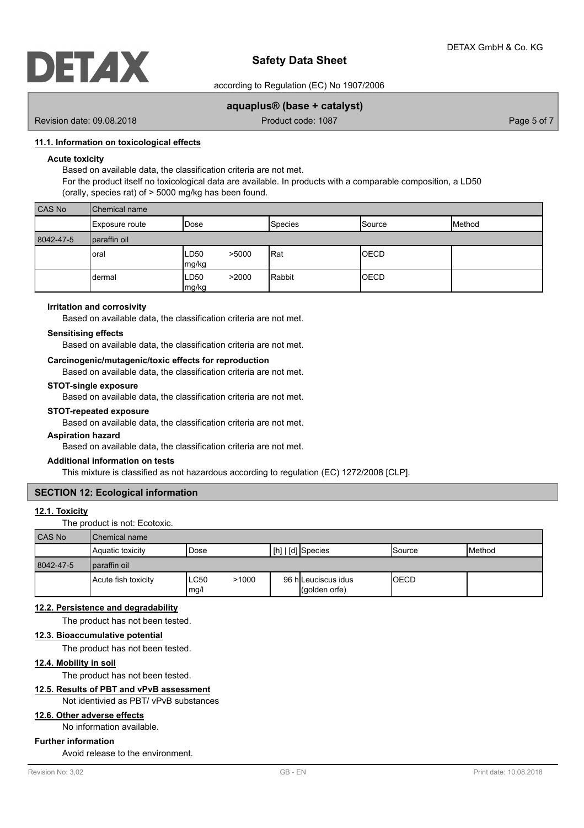

according to Regulation (EC) No 1907/2006

## **aquaplus® (base + catalyst)**

Revision date: 09.08.2018 **Product code: 1087** Product code: 1087 **Page 5 of 7** Page 5 of 7

### **11.1. Information on toxicological effects**

### **Acute toxicity**

Based on available data, the classification criteria are not met.

For the product itself no toxicological data are available. In products with a comparable composition, a LD50 (orally, species rat) of > 5000 mg/kg has been found.

| CAS No    | Chemical name  |                        |                |               |        |
|-----------|----------------|------------------------|----------------|---------------|--------|
|           | Exposure route | Dose                   | <b>Species</b> | <b>Source</b> | Method |
| 8042-47-5 | paraffin oil   |                        |                |               |        |
|           | oral           | >5000<br>LD50<br>mg/kg | <b>I</b> Rat   | <b>OECD</b>   |        |
|           | dermal         | LD50<br>>2000<br>mg/kg | Rabbit         | <b>IOECD</b>  |        |

### **Irritation and corrosivity**

Based on available data, the classification criteria are not met.

#### **Sensitising effects**

Based on available data, the classification criteria are not met.

#### **Carcinogenic/mutagenic/toxic effects for reproduction**

Based on available data, the classification criteria are not met.

#### **STOT-single exposure**

Based on available data, the classification criteria are not met.

#### **STOT-repeated exposure**

Based on available data, the classification criteria are not met.

### **Aspiration hazard**

Based on available data, the classification criteria are not met.

### **Additional information on tests**

This mixture is classified as not hazardous according to regulation (EC) 1272/2008 [CLP].

# **SECTION 12: Ecological information**

# **12.1. Toxicity**

The product is not: Ecotoxic.

| <b>CAS No</b> | I Chemical name     |              |       |  |                                      |         |                 |
|---------------|---------------------|--------------|-------|--|--------------------------------------|---------|-----------------|
|               | Aquatic toxicity    | Dose         |       |  | [ [h]   [d]  Species                 | ISource | <b>I</b> Method |
| 8042-47-5     | I paraffin oil      |              |       |  |                                      |         |                 |
|               | Acute fish toxicity | ∟C50<br>mg/l | >1000 |  | 96 h Leuciscus idus<br>(qolden orfe) | IOECD   |                 |

### **12.2. Persistence and degradability**

The product has not been tested.

#### **12.3. Bioaccumulative potential**

The product has not been tested.

#### **12.4. Mobility in soil**

The product has not been tested.

### **12.5. Results of PBT and vPvB assessment**

#### Not identivied as PBT/ vPvB substances

# **12.6. Other adverse effects**

No information available.

## **Further information**

Avoid release to the environment.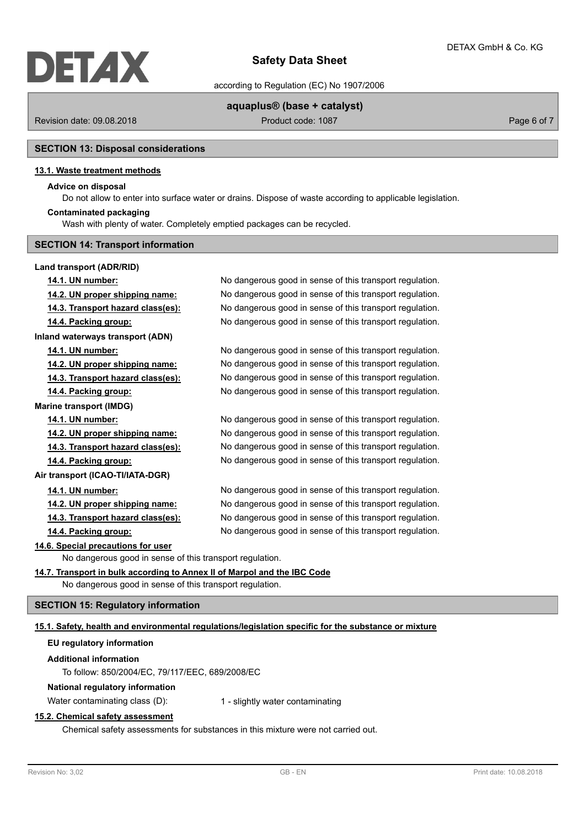

according to Regulation (EC) No 1907/2006

## **aquaplus® (base + catalyst)**

Revision date: 09.08.2018 Product code: 1087 Product code: 1087 Page 6 of 7

## **SECTION 13: Disposal considerations**

#### **13.1. Waste treatment methods**

#### **Advice on disposal**

Do not allow to enter into surface water or drains. Dispose of waste according to applicable legislation.

#### **Contaminated packaging**

Wash with plenty of water. Completely emptied packages can be recycled.

# **SECTION 14: Transport information**

#### **Land transport (ADR/RID)**

**14.1. UN number:** No dangerous good in sense of this transport regulation. **14.2. UN proper shipping name:** No dangerous good in sense of this transport regulation. **14.3. Transport hazard class(es):** No dangerous good in sense of this transport regulation. **14.4. Packing group:** No dangerous good in sense of this transport regulation. **Inland waterways transport (ADN) 14.1. UN number:** No dangerous good in sense of this transport regulation. **14.2. UN proper shipping name:** No dangerous good in sense of this transport regulation. **14.3. Transport hazard class(es):** No dangerous good in sense of this transport regulation. **14.4. Packing group:** No dangerous good in sense of this transport regulation. **Marine transport (IMDG) 14.1. UN number:** No dangerous good in sense of this transport regulation. **14.2. UN proper shipping name:** No dangerous good in sense of this transport regulation. **14.3. Transport hazard class(es):** No dangerous good in sense of this transport regulation. **14.4. Packing group:** No dangerous good in sense of this transport regulation. **Air transport (ICAO-TI/IATA-DGR) 14.1. UN number:** No dangerous good in sense of this transport regulation. **14.2. UN proper shipping name:** No dangerous good in sense of this transport regulation. **14.3. Transport hazard class(es):** No dangerous good in sense of this transport regulation. **14.4. Packing group:** No dangerous good in sense of this transport regulation. **14.6. Special precautions for user** No dangerous good in sense of this transport regulation. **14.7. Transport in bulk according to Annex II of Marpol and the IBC Code**

No dangerous good in sense of this transport regulation.

#### **SECTION 15: Regulatory information**

#### **15.1. Safety, health and environmental regulations/legislation specific for the substance or mixture**

# **EU regulatory information**

#### **Additional information**

To follow: 850/2004/EC, 79/117/EEC, 689/2008/EC

# **National regulatory information**

Water contaminating class (D): 1 - slightly water contaminating

# **15.2. Chemical safety assessment**

Chemical safety assessments for substances in this mixture were not carried out.